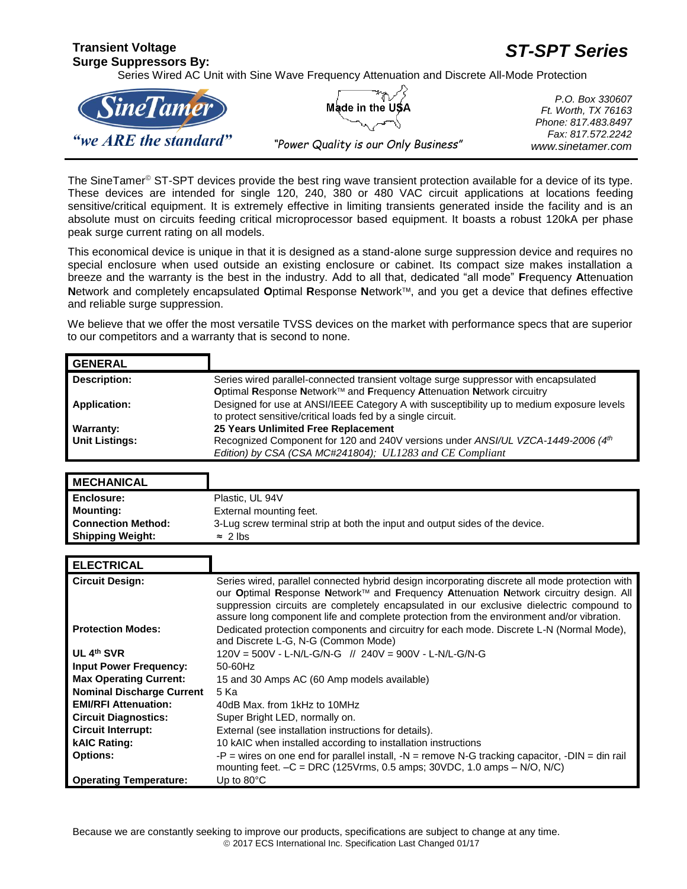## **Transient Voltage Surge Suppressors By:**  *ST-SPT Series* Series Wired AC Unit with Sine Wave Frequency Attenuation and Discrete All-Mode Protection



*P.O. Box 330607 Ft. Worth, TX 76163 Phone: 817.483.8497 Fax: 817.572.2242 "Power Quality is our Only Business" www.sinetamer.com*

The SineTamer<sup>®</sup> ST-SPT devices provide the best ring wave transient protection available for a device of its type. These devices are intended for single 120, 240, 380 or 480 VAC circuit applications at locations feeding sensitive/critical equipment. It is extremely effective in limiting transients generated inside the facility and is an absolute must on circuits feeding critical microprocessor based equipment. It boasts a robust 120kA per phase peak surge current rating on all models.

This economical device is unique in that it is designed as a stand-alone surge suppression device and requires no special enclosure when used outside an existing enclosure or cabinet. Its compact size makes installation a breeze and the warranty is the best in the industry. Add to all that, dedicated "all mode" **F**requency **A**ttenuation **N**etwork and completely encapsulated **O**ptimal **R**esponse **N**etwork, and you get a device that defines effective and reliable surge suppression.

We believe that we offer the most versatile TVSS devices on the market with performance specs that are superior to our competitors and a warranty that is second to none.

| <b>GENERAL</b>        |                                                                                                                                                           |
|-----------------------|-----------------------------------------------------------------------------------------------------------------------------------------------------------|
| Description:          | Series wired parallel-connected transient voltage surge suppressor with encapsulated                                                                      |
|                       | Optimal Response Network™ and Frequency Attenuation Network circuitry                                                                                     |
| <b>Application:</b>   | Designed for use at ANSI/IEEE Category A with susceptibility up to medium exposure levels<br>to protect sensitive/critical loads fed by a single circuit. |
| Warranty:             | 25 Years Unlimited Free Replacement                                                                                                                       |
| <b>Unit Listings:</b> | Recognized Component for 120 and 240V versions under ANSI/UL VZCA-1449-2006 (4th                                                                          |
|                       | Edition) by CSA (CSA MC#241804); UL1283 and CE Compliant                                                                                                  |

| <b>MECHANICAL</b>         |                                                                              |
|---------------------------|------------------------------------------------------------------------------|
| <b>Enclosure:</b>         | Plastic, UL 94V                                                              |
| Mounting:                 | External mounting feet.                                                      |
| <b>Connection Method:</b> | 3-Lug screw terminal strip at both the input and output sides of the device. |
| <b>Shipping Weight:</b>   | $\approx$ 2 lbs                                                              |

| <b>ELECTRICAL</b>                |                                                                                                                                                                                                                                                                                                                                                                                  |
|----------------------------------|----------------------------------------------------------------------------------------------------------------------------------------------------------------------------------------------------------------------------------------------------------------------------------------------------------------------------------------------------------------------------------|
| <b>Circuit Design:</b>           | Series wired, parallel connected hybrid design incorporating discrete all mode protection with<br>our Optimal Response Network™ and Frequency Attenuation Network circuitry design. All<br>suppression circuits are completely encapsulated in our exclusive dielectric compound to<br>assure long component life and complete protection from the environment and/or vibration. |
| <b>Protection Modes:</b>         | Dedicated protection components and circuitry for each mode. Discrete L-N (Normal Mode),<br>and Discrete L-G, N-G (Common Mode)                                                                                                                                                                                                                                                  |
| UL 4th SVR                       |                                                                                                                                                                                                                                                                                                                                                                                  |
| <b>Input Power Frequency:</b>    | 50-60Hz                                                                                                                                                                                                                                                                                                                                                                          |
| <b>Max Operating Current:</b>    | 15 and 30 Amps AC (60 Amp models available)                                                                                                                                                                                                                                                                                                                                      |
| <b>Nominal Discharge Current</b> | 5 Ka                                                                                                                                                                                                                                                                                                                                                                             |
| <b>EMI/RFI Attenuation:</b>      | 40dB Max, from 1kHz to 10MHz                                                                                                                                                                                                                                                                                                                                                     |
| <b>Circuit Diagnostics:</b>      | Super Bright LED, normally on.                                                                                                                                                                                                                                                                                                                                                   |
| <b>Circuit Interrupt:</b>        | External (see installation instructions for details).                                                                                                                                                                                                                                                                                                                            |
| <b>kAIC Rating:</b>              | 10 kAIC when installed according to installation instructions                                                                                                                                                                                                                                                                                                                    |
| <b>Options:</b>                  | -P = wires on one end for parallel install, $-N$ = remove N-G tracking capacitor, $-DIN$ = din rail<br>mounting feet. $-C = DRC$ (125Vrms, 0.5 amps; 30VDC, 1.0 amps $-$ N/O, N/C)                                                                                                                                                                                               |
| <b>Operating Temperature:</b>    | Up to $80^{\circ}$ C                                                                                                                                                                                                                                                                                                                                                             |

Because we are constantly seeking to improve our products, specifications are subject to change at any time.